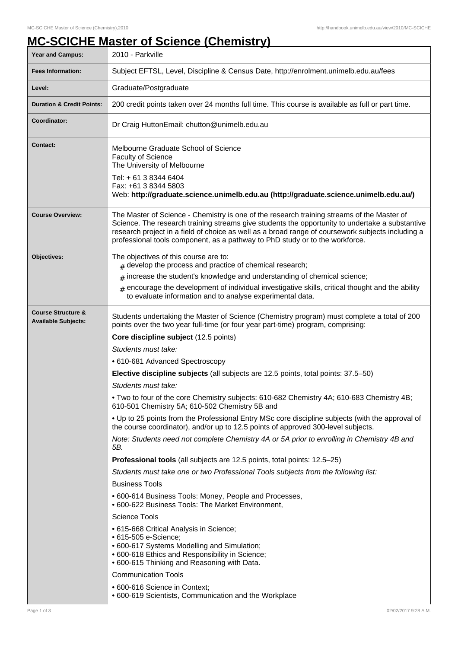## **MC-SCICHE Master of Science (Chemistry)**

| <b>Year and Campus:</b>                                     | 2010 - Parkville                                                                                                                                                                                                                                                                                                                                                                   |  |  |  |
|-------------------------------------------------------------|------------------------------------------------------------------------------------------------------------------------------------------------------------------------------------------------------------------------------------------------------------------------------------------------------------------------------------------------------------------------------------|--|--|--|
| <b>Fees Information:</b>                                    | Subject EFTSL, Level, Discipline & Census Date, http://enrolment.unimelb.edu.au/fees                                                                                                                                                                                                                                                                                               |  |  |  |
| Level:                                                      | Graduate/Postgraduate                                                                                                                                                                                                                                                                                                                                                              |  |  |  |
| <b>Duration &amp; Credit Points:</b>                        | 200 credit points taken over 24 months full time. This course is available as full or part time.                                                                                                                                                                                                                                                                                   |  |  |  |
| Coordinator:                                                | Dr Craig HuttonEmail: chutton@unimelb.edu.au                                                                                                                                                                                                                                                                                                                                       |  |  |  |
| <b>Contact:</b>                                             | Melbourne Graduate School of Science<br>Faculty of Science<br>The University of Melbourne<br>Tel: + 61 3 8344 6404<br>Fax: +61 3 8344 5803                                                                                                                                                                                                                                         |  |  |  |
|                                                             | Web: http://graduate.science.unimelb.edu.au (http://graduate.science.unimelb.edu.au/)                                                                                                                                                                                                                                                                                              |  |  |  |
| <b>Course Overview:</b>                                     | The Master of Science - Chemistry is one of the research training streams of the Master of<br>Science. The research training streams give students the opportunity to undertake a substantive<br>research project in a field of choice as well as a broad range of coursework subjects including a<br>professional tools component, as a pathway to PhD study or to the workforce. |  |  |  |
| Objectives:                                                 | The objectives of this course are to:<br>$#$ develop the process and practice of chemical research;                                                                                                                                                                                                                                                                                |  |  |  |
|                                                             | $#$ increase the student's knowledge and understanding of chemical science;                                                                                                                                                                                                                                                                                                        |  |  |  |
|                                                             | $#$ encourage the development of individual investigative skills, critical thought and the ability<br>to evaluate information and to analyse experimental data.                                                                                                                                                                                                                    |  |  |  |
| <b>Course Structure &amp;</b><br><b>Available Subjects:</b> | Students undertaking the Master of Science (Chemistry program) must complete a total of 200<br>points over the two year full-time (or four year part-time) program, comprising:                                                                                                                                                                                                    |  |  |  |
|                                                             | Core discipline subject (12.5 points)                                                                                                                                                                                                                                                                                                                                              |  |  |  |
|                                                             | Students must take:                                                                                                                                                                                                                                                                                                                                                                |  |  |  |
|                                                             | • 610-681 Advanced Spectroscopy                                                                                                                                                                                                                                                                                                                                                    |  |  |  |
|                                                             | Elective discipline subjects (all subjects are 12.5 points, total points: 37.5–50)                                                                                                                                                                                                                                                                                                 |  |  |  |
|                                                             | Students must take:                                                                                                                                                                                                                                                                                                                                                                |  |  |  |
|                                                             | . Two to four of the core Chemistry subjects: 610-682 Chemistry 4A; 610-683 Chemistry 4B;<br>610-501 Chemistry 5A; 610-502 Chemistry 5B and                                                                                                                                                                                                                                        |  |  |  |
|                                                             | . Up to 25 points from the Professional Entry MSc core discipline subjects (with the approval of<br>the course coordinator), and/or up to 12.5 points of approved 300-level subjects.                                                                                                                                                                                              |  |  |  |
|                                                             | Note: Students need not complete Chemistry 4A or 5A prior to enrolling in Chemistry 4B and<br>5B.                                                                                                                                                                                                                                                                                  |  |  |  |
|                                                             | Professional tools (all subjects are 12.5 points, total points: 12.5–25)                                                                                                                                                                                                                                                                                                           |  |  |  |
|                                                             | Students must take one or two Professional Tools subjects from the following list:                                                                                                                                                                                                                                                                                                 |  |  |  |
|                                                             | <b>Business Tools</b>                                                                                                                                                                                                                                                                                                                                                              |  |  |  |
|                                                             | • 600-614 Business Tools: Money, People and Processes,<br>• 600-622 Business Tools: The Market Environment,                                                                                                                                                                                                                                                                        |  |  |  |
|                                                             | <b>Science Tools</b>                                                                                                                                                                                                                                                                                                                                                               |  |  |  |
|                                                             | • 615-668 Critical Analysis in Science;<br>• 615-505 e-Science;<br>• 600-617 Systems Modelling and Simulation;<br>• 600-618 Ethics and Responsibility in Science;<br>• 600-615 Thinking and Reasoning with Data.                                                                                                                                                                   |  |  |  |
|                                                             | <b>Communication Tools</b>                                                                                                                                                                                                                                                                                                                                                         |  |  |  |
|                                                             | • 600-616 Science in Context;<br>• 600-619 Scientists, Communication and the Workplace                                                                                                                                                                                                                                                                                             |  |  |  |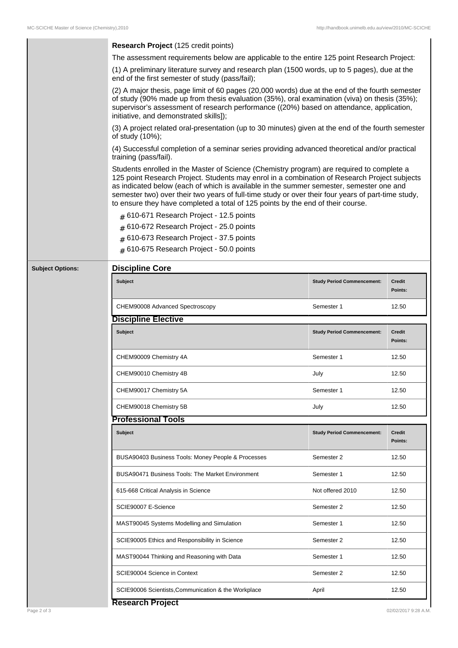| The assessment requirements below are applicable to the entire 125 point Research Project:<br>(1) A preliminary literature survey and research plan (1500 words, up to 5 pages), due at the<br>end of the first semester of study (pass/fail);<br>(2) A major thesis, page limit of 60 pages (20,000 words) due at the end of the fourth semester<br>of study (90% made up from thesis evaluation (35%), oral examination (viva) on thesis (35%);<br>supervisor's assessment of research performance ((20%) based on attendance, application,<br>initiative, and demonstrated skills]);<br>(3) A project related oral-presentation (up to 30 minutes) given at the end of the fourth semester<br>of study (10%);<br>(4) Successful completion of a seminar series providing advanced theoretical and/or practical<br>training (pass/fail).<br>Students enrolled in the Master of Science (Chemistry program) are required to complete a<br>125 point Research Project. Students may enrol in a combination of Research Project subjects<br>as indicated below (each of which is available in the summer semester, semester one and<br>semester two) over their two years of full-time study or over their four years of part-time study,<br>to ensure they have completed a total of 125 points by the end of their course.<br>$#$ 610-671 Research Project - 12.5 points<br>610-672 Research Project - 25.0 points<br>#<br># 610-673 Research Project - 37.5 points<br>$#$ 610-675 Research Project - 50.0 points<br><b>Discipline Core</b><br><b>Subject Options:</b><br><b>Subject</b><br><b>Credit</b><br><b>Study Period Commencement:</b><br>Points:<br>CHEM90008 Advanced Spectroscopy<br>12.50<br>Semester 1<br><b>Discipline Elective</b><br>Subject<br><b>Study Period Commencement:</b><br><b>Credit</b><br>Points:<br>12.50<br>CHEM90009 Chemistry 4A<br>Semester 1<br>CHEM90010 Chemistry 4B<br>12.50<br>July<br>CHEM90017 Chemistry 5A<br>12.50<br>Semester 1<br>CHEM90018 Chemistry 5B<br>July<br>12.50<br><b>Professional Tools</b><br><b>Subject</b><br><b>Study Period Commencement:</b><br><b>Credit</b><br>Points:<br>BUSA90403 Business Tools: Money People & Processes<br>Semester 2<br>12.50<br><b>BUSA90471 Business Tools: The Market Environment</b><br>12.50<br>Semester 1<br>615-668 Critical Analysis in Science<br>Not offered 2010<br>12.50<br>SCIE90007 E-Science<br>Semester 2<br>12.50<br>MAST90045 Systems Modelling and Simulation<br>12.50<br>Semester 1<br>SCIE90005 Ethics and Responsibility in Science<br>Semester 2<br>12.50<br>MAST90044 Thinking and Reasoning with Data<br>12.50<br>Semester 1<br>SCIE90004 Science in Context<br>Semester 2<br>12.50<br>SCIE90006 Scientists, Communication & the Workplace<br>12.50<br>April<br><b>Research Project</b><br>Page 2 of 3 |  |                                      |  |  |  |  |
|-----------------------------------------------------------------------------------------------------------------------------------------------------------------------------------------------------------------------------------------------------------------------------------------------------------------------------------------------------------------------------------------------------------------------------------------------------------------------------------------------------------------------------------------------------------------------------------------------------------------------------------------------------------------------------------------------------------------------------------------------------------------------------------------------------------------------------------------------------------------------------------------------------------------------------------------------------------------------------------------------------------------------------------------------------------------------------------------------------------------------------------------------------------------------------------------------------------------------------------------------------------------------------------------------------------------------------------------------------------------------------------------------------------------------------------------------------------------------------------------------------------------------------------------------------------------------------------------------------------------------------------------------------------------------------------------------------------------------------------------------------------------------------------------------------------------------------------------------------------------------------------------------------------------------------------------------------------------------------------------------------------------------------------------------------------------------------------------------------------------------------------------------------------------------------------------------------------------------------------------------------------------------------------------------------------------------------------------------------------------------------------------------------------------------------------------------------------------------------------------------------------------------------------------------------------------------------------------------------------------------------------------------------------------------------------------------------------------------------------------------------------------------------------------------------------------------|--|--------------------------------------|--|--|--|--|
|                                                                                                                                                                                                                                                                                                                                                                                                                                                                                                                                                                                                                                                                                                                                                                                                                                                                                                                                                                                                                                                                                                                                                                                                                                                                                                                                                                                                                                                                                                                                                                                                                                                                                                                                                                                                                                                                                                                                                                                                                                                                                                                                                                                                                                                                                                                                                                                                                                                                                                                                                                                                                                                                                                                                                                                                                       |  | Research Project (125 credit points) |  |  |  |  |
|                                                                                                                                                                                                                                                                                                                                                                                                                                                                                                                                                                                                                                                                                                                                                                                                                                                                                                                                                                                                                                                                                                                                                                                                                                                                                                                                                                                                                                                                                                                                                                                                                                                                                                                                                                                                                                                                                                                                                                                                                                                                                                                                                                                                                                                                                                                                                                                                                                                                                                                                                                                                                                                                                                                                                                                                                       |  |                                      |  |  |  |  |
|                                                                                                                                                                                                                                                                                                                                                                                                                                                                                                                                                                                                                                                                                                                                                                                                                                                                                                                                                                                                                                                                                                                                                                                                                                                                                                                                                                                                                                                                                                                                                                                                                                                                                                                                                                                                                                                                                                                                                                                                                                                                                                                                                                                                                                                                                                                                                                                                                                                                                                                                                                                                                                                                                                                                                                                                                       |  |                                      |  |  |  |  |
|                                                                                                                                                                                                                                                                                                                                                                                                                                                                                                                                                                                                                                                                                                                                                                                                                                                                                                                                                                                                                                                                                                                                                                                                                                                                                                                                                                                                                                                                                                                                                                                                                                                                                                                                                                                                                                                                                                                                                                                                                                                                                                                                                                                                                                                                                                                                                                                                                                                                                                                                                                                                                                                                                                                                                                                                                       |  |                                      |  |  |  |  |
|                                                                                                                                                                                                                                                                                                                                                                                                                                                                                                                                                                                                                                                                                                                                                                                                                                                                                                                                                                                                                                                                                                                                                                                                                                                                                                                                                                                                                                                                                                                                                                                                                                                                                                                                                                                                                                                                                                                                                                                                                                                                                                                                                                                                                                                                                                                                                                                                                                                                                                                                                                                                                                                                                                                                                                                                                       |  |                                      |  |  |  |  |
|                                                                                                                                                                                                                                                                                                                                                                                                                                                                                                                                                                                                                                                                                                                                                                                                                                                                                                                                                                                                                                                                                                                                                                                                                                                                                                                                                                                                                                                                                                                                                                                                                                                                                                                                                                                                                                                                                                                                                                                                                                                                                                                                                                                                                                                                                                                                                                                                                                                                                                                                                                                                                                                                                                                                                                                                                       |  |                                      |  |  |  |  |
|                                                                                                                                                                                                                                                                                                                                                                                                                                                                                                                                                                                                                                                                                                                                                                                                                                                                                                                                                                                                                                                                                                                                                                                                                                                                                                                                                                                                                                                                                                                                                                                                                                                                                                                                                                                                                                                                                                                                                                                                                                                                                                                                                                                                                                                                                                                                                                                                                                                                                                                                                                                                                                                                                                                                                                                                                       |  |                                      |  |  |  |  |
|                                                                                                                                                                                                                                                                                                                                                                                                                                                                                                                                                                                                                                                                                                                                                                                                                                                                                                                                                                                                                                                                                                                                                                                                                                                                                                                                                                                                                                                                                                                                                                                                                                                                                                                                                                                                                                                                                                                                                                                                                                                                                                                                                                                                                                                                                                                                                                                                                                                                                                                                                                                                                                                                                                                                                                                                                       |  |                                      |  |  |  |  |
|                                                                                                                                                                                                                                                                                                                                                                                                                                                                                                                                                                                                                                                                                                                                                                                                                                                                                                                                                                                                                                                                                                                                                                                                                                                                                                                                                                                                                                                                                                                                                                                                                                                                                                                                                                                                                                                                                                                                                                                                                                                                                                                                                                                                                                                                                                                                                                                                                                                                                                                                                                                                                                                                                                                                                                                                                       |  |                                      |  |  |  |  |
|                                                                                                                                                                                                                                                                                                                                                                                                                                                                                                                                                                                                                                                                                                                                                                                                                                                                                                                                                                                                                                                                                                                                                                                                                                                                                                                                                                                                                                                                                                                                                                                                                                                                                                                                                                                                                                                                                                                                                                                                                                                                                                                                                                                                                                                                                                                                                                                                                                                                                                                                                                                                                                                                                                                                                                                                                       |  |                                      |  |  |  |  |
|                                                                                                                                                                                                                                                                                                                                                                                                                                                                                                                                                                                                                                                                                                                                                                                                                                                                                                                                                                                                                                                                                                                                                                                                                                                                                                                                                                                                                                                                                                                                                                                                                                                                                                                                                                                                                                                                                                                                                                                                                                                                                                                                                                                                                                                                                                                                                                                                                                                                                                                                                                                                                                                                                                                                                                                                                       |  |                                      |  |  |  |  |
|                                                                                                                                                                                                                                                                                                                                                                                                                                                                                                                                                                                                                                                                                                                                                                                                                                                                                                                                                                                                                                                                                                                                                                                                                                                                                                                                                                                                                                                                                                                                                                                                                                                                                                                                                                                                                                                                                                                                                                                                                                                                                                                                                                                                                                                                                                                                                                                                                                                                                                                                                                                                                                                                                                                                                                                                                       |  |                                      |  |  |  |  |
|                                                                                                                                                                                                                                                                                                                                                                                                                                                                                                                                                                                                                                                                                                                                                                                                                                                                                                                                                                                                                                                                                                                                                                                                                                                                                                                                                                                                                                                                                                                                                                                                                                                                                                                                                                                                                                                                                                                                                                                                                                                                                                                                                                                                                                                                                                                                                                                                                                                                                                                                                                                                                                                                                                                                                                                                                       |  |                                      |  |  |  |  |
|                                                                                                                                                                                                                                                                                                                                                                                                                                                                                                                                                                                                                                                                                                                                                                                                                                                                                                                                                                                                                                                                                                                                                                                                                                                                                                                                                                                                                                                                                                                                                                                                                                                                                                                                                                                                                                                                                                                                                                                                                                                                                                                                                                                                                                                                                                                                                                                                                                                                                                                                                                                                                                                                                                                                                                                                                       |  |                                      |  |  |  |  |
|                                                                                                                                                                                                                                                                                                                                                                                                                                                                                                                                                                                                                                                                                                                                                                                                                                                                                                                                                                                                                                                                                                                                                                                                                                                                                                                                                                                                                                                                                                                                                                                                                                                                                                                                                                                                                                                                                                                                                                                                                                                                                                                                                                                                                                                                                                                                                                                                                                                                                                                                                                                                                                                                                                                                                                                                                       |  |                                      |  |  |  |  |
|                                                                                                                                                                                                                                                                                                                                                                                                                                                                                                                                                                                                                                                                                                                                                                                                                                                                                                                                                                                                                                                                                                                                                                                                                                                                                                                                                                                                                                                                                                                                                                                                                                                                                                                                                                                                                                                                                                                                                                                                                                                                                                                                                                                                                                                                                                                                                                                                                                                                                                                                                                                                                                                                                                                                                                                                                       |  |                                      |  |  |  |  |
|                                                                                                                                                                                                                                                                                                                                                                                                                                                                                                                                                                                                                                                                                                                                                                                                                                                                                                                                                                                                                                                                                                                                                                                                                                                                                                                                                                                                                                                                                                                                                                                                                                                                                                                                                                                                                                                                                                                                                                                                                                                                                                                                                                                                                                                                                                                                                                                                                                                                                                                                                                                                                                                                                                                                                                                                                       |  |                                      |  |  |  |  |
|                                                                                                                                                                                                                                                                                                                                                                                                                                                                                                                                                                                                                                                                                                                                                                                                                                                                                                                                                                                                                                                                                                                                                                                                                                                                                                                                                                                                                                                                                                                                                                                                                                                                                                                                                                                                                                                                                                                                                                                                                                                                                                                                                                                                                                                                                                                                                                                                                                                                                                                                                                                                                                                                                                                                                                                                                       |  |                                      |  |  |  |  |
|                                                                                                                                                                                                                                                                                                                                                                                                                                                                                                                                                                                                                                                                                                                                                                                                                                                                                                                                                                                                                                                                                                                                                                                                                                                                                                                                                                                                                                                                                                                                                                                                                                                                                                                                                                                                                                                                                                                                                                                                                                                                                                                                                                                                                                                                                                                                                                                                                                                                                                                                                                                                                                                                                                                                                                                                                       |  |                                      |  |  |  |  |
| 02/02/2017 9:28 A.M.                                                                                                                                                                                                                                                                                                                                                                                                                                                                                                                                                                                                                                                                                                                                                                                                                                                                                                                                                                                                                                                                                                                                                                                                                                                                                                                                                                                                                                                                                                                                                                                                                                                                                                                                                                                                                                                                                                                                                                                                                                                                                                                                                                                                                                                                                                                                                                                                                                                                                                                                                                                                                                                                                                                                                                                                  |  |                                      |  |  |  |  |
|                                                                                                                                                                                                                                                                                                                                                                                                                                                                                                                                                                                                                                                                                                                                                                                                                                                                                                                                                                                                                                                                                                                                                                                                                                                                                                                                                                                                                                                                                                                                                                                                                                                                                                                                                                                                                                                                                                                                                                                                                                                                                                                                                                                                                                                                                                                                                                                                                                                                                                                                                                                                                                                                                                                                                                                                                       |  |                                      |  |  |  |  |
|                                                                                                                                                                                                                                                                                                                                                                                                                                                                                                                                                                                                                                                                                                                                                                                                                                                                                                                                                                                                                                                                                                                                                                                                                                                                                                                                                                                                                                                                                                                                                                                                                                                                                                                                                                                                                                                                                                                                                                                                                                                                                                                                                                                                                                                                                                                                                                                                                                                                                                                                                                                                                                                                                                                                                                                                                       |  |                                      |  |  |  |  |
|                                                                                                                                                                                                                                                                                                                                                                                                                                                                                                                                                                                                                                                                                                                                                                                                                                                                                                                                                                                                                                                                                                                                                                                                                                                                                                                                                                                                                                                                                                                                                                                                                                                                                                                                                                                                                                                                                                                                                                                                                                                                                                                                                                                                                                                                                                                                                                                                                                                                                                                                                                                                                                                                                                                                                                                                                       |  |                                      |  |  |  |  |
|                                                                                                                                                                                                                                                                                                                                                                                                                                                                                                                                                                                                                                                                                                                                                                                                                                                                                                                                                                                                                                                                                                                                                                                                                                                                                                                                                                                                                                                                                                                                                                                                                                                                                                                                                                                                                                                                                                                                                                                                                                                                                                                                                                                                                                                                                                                                                                                                                                                                                                                                                                                                                                                                                                                                                                                                                       |  |                                      |  |  |  |  |
|                                                                                                                                                                                                                                                                                                                                                                                                                                                                                                                                                                                                                                                                                                                                                                                                                                                                                                                                                                                                                                                                                                                                                                                                                                                                                                                                                                                                                                                                                                                                                                                                                                                                                                                                                                                                                                                                                                                                                                                                                                                                                                                                                                                                                                                                                                                                                                                                                                                                                                                                                                                                                                                                                                                                                                                                                       |  |                                      |  |  |  |  |
|                                                                                                                                                                                                                                                                                                                                                                                                                                                                                                                                                                                                                                                                                                                                                                                                                                                                                                                                                                                                                                                                                                                                                                                                                                                                                                                                                                                                                                                                                                                                                                                                                                                                                                                                                                                                                                                                                                                                                                                                                                                                                                                                                                                                                                                                                                                                                                                                                                                                                                                                                                                                                                                                                                                                                                                                                       |  |                                      |  |  |  |  |
|                                                                                                                                                                                                                                                                                                                                                                                                                                                                                                                                                                                                                                                                                                                                                                                                                                                                                                                                                                                                                                                                                                                                                                                                                                                                                                                                                                                                                                                                                                                                                                                                                                                                                                                                                                                                                                                                                                                                                                                                                                                                                                                                                                                                                                                                                                                                                                                                                                                                                                                                                                                                                                                                                                                                                                                                                       |  |                                      |  |  |  |  |
|                                                                                                                                                                                                                                                                                                                                                                                                                                                                                                                                                                                                                                                                                                                                                                                                                                                                                                                                                                                                                                                                                                                                                                                                                                                                                                                                                                                                                                                                                                                                                                                                                                                                                                                                                                                                                                                                                                                                                                                                                                                                                                                                                                                                                                                                                                                                                                                                                                                                                                                                                                                                                                                                                                                                                                                                                       |  |                                      |  |  |  |  |
|                                                                                                                                                                                                                                                                                                                                                                                                                                                                                                                                                                                                                                                                                                                                                                                                                                                                                                                                                                                                                                                                                                                                                                                                                                                                                                                                                                                                                                                                                                                                                                                                                                                                                                                                                                                                                                                                                                                                                                                                                                                                                                                                                                                                                                                                                                                                                                                                                                                                                                                                                                                                                                                                                                                                                                                                                       |  |                                      |  |  |  |  |
|                                                                                                                                                                                                                                                                                                                                                                                                                                                                                                                                                                                                                                                                                                                                                                                                                                                                                                                                                                                                                                                                                                                                                                                                                                                                                                                                                                                                                                                                                                                                                                                                                                                                                                                                                                                                                                                                                                                                                                                                                                                                                                                                                                                                                                                                                                                                                                                                                                                                                                                                                                                                                                                                                                                                                                                                                       |  |                                      |  |  |  |  |
|                                                                                                                                                                                                                                                                                                                                                                                                                                                                                                                                                                                                                                                                                                                                                                                                                                                                                                                                                                                                                                                                                                                                                                                                                                                                                                                                                                                                                                                                                                                                                                                                                                                                                                                                                                                                                                                                                                                                                                                                                                                                                                                                                                                                                                                                                                                                                                                                                                                                                                                                                                                                                                                                                                                                                                                                                       |  |                                      |  |  |  |  |
|                                                                                                                                                                                                                                                                                                                                                                                                                                                                                                                                                                                                                                                                                                                                                                                                                                                                                                                                                                                                                                                                                                                                                                                                                                                                                                                                                                                                                                                                                                                                                                                                                                                                                                                                                                                                                                                                                                                                                                                                                                                                                                                                                                                                                                                                                                                                                                                                                                                                                                                                                                                                                                                                                                                                                                                                                       |  |                                      |  |  |  |  |